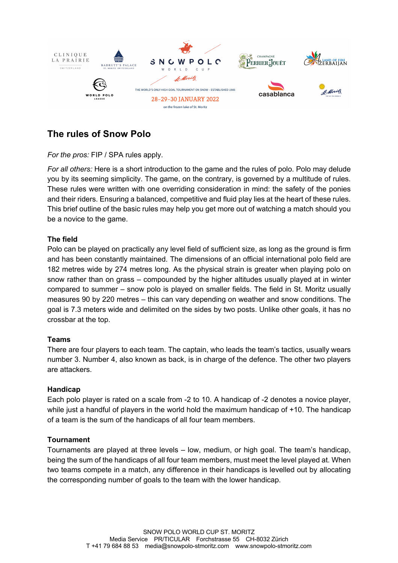

# **The rules of Snow Polo**

# *For the pros:* FIP / SPA rules apply.

*For all others:* Here is a short introduction to the game and the rules of polo. Polo may delude you by its seeming simplicity. The game, on the contrary, is governed by a multitude of rules. These rules were written with one overriding consideration in mind: the safety of the ponies and their riders. Ensuring a balanced, competitive and fluid play lies at the heart of these rules. This brief outline of the basic rules may help you get more out of watching a match should you be a novice to the game.

# **The field**

Polo can be played on practically any level field of sufficient size, as long as the ground is firm and has been constantly maintained. The dimensions of an official international polo field are 182 metres wide by 274 metres long. As the physical strain is greater when playing polo on snow rather than on grass – compounded by the higher altitudes usually played at in winter compared to summer – snow polo is played on smaller fields. The field in St. Moritz usually measures 90 by 220 metres – this can vary depending on weather and snow conditions. The goal is 7.3 meters wide and delimited on the sides by two posts. Unlike other goals, it has no crossbar at the top.

# **Teams**

There are four players to each team. The captain, who leads the team's tactics, usually wears number 3. Number 4, also known as back, is in charge of the defence. The other two players are attackers.

#### **Handicap**

Each polo player is rated on a scale from -2 to 10. A handicap of -2 denotes a novice player, while just a handful of players in the world hold the maximum handicap of +10. The handicap of a team is the sum of the handicaps of all four team members.

#### **Tournament**

Tournaments are played at three levels – low, medium, or high goal. The team's handicap, being the sum of the handicaps of all four team members, must meet the level played at. When two teams compete in a match, any difference in their handicaps is levelled out by allocating the corresponding number of goals to the team with the lower handicap.